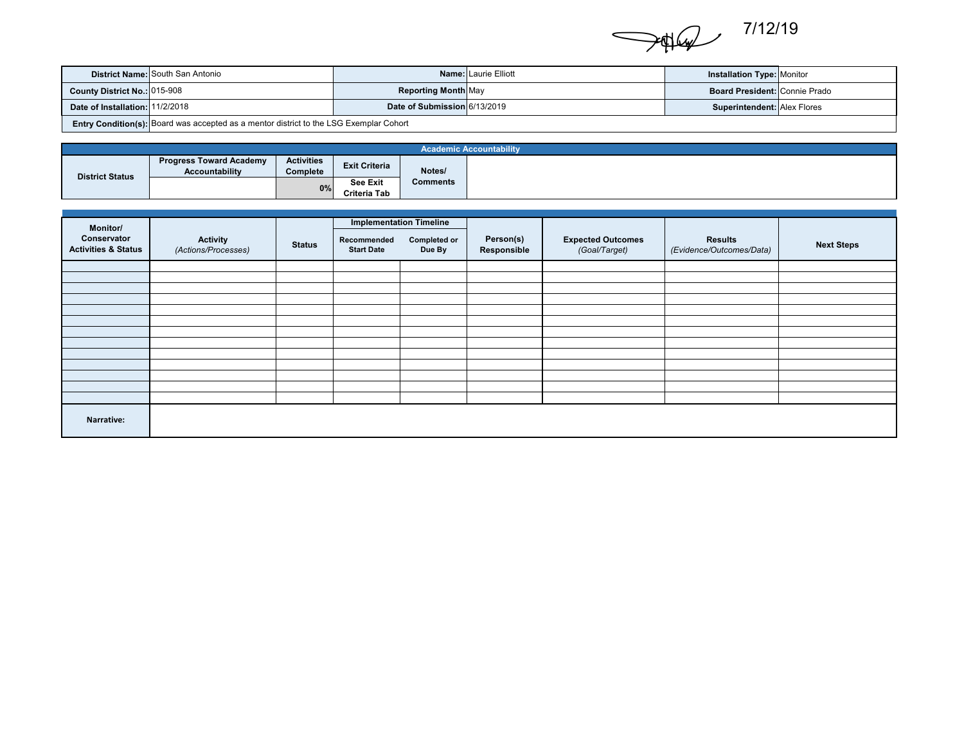

|                                 | <b>District Name: South San Antonio</b>                                                |                              | <b>Name: Laurie Elliott</b> | <b>Installation Type: Monitor</b>    |  |  |  |
|---------------------------------|----------------------------------------------------------------------------------------|------------------------------|-----------------------------|--------------------------------------|--|--|--|
| County District No.: 015-908    |                                                                                        | <b>Reporting Month May</b>   |                             | <b>Board President: Connie Prado</b> |  |  |  |
| Date of Installation: 11/2/2018 |                                                                                        | Date of Submission 6/13/2019 |                             | Superintendent: Alex Flores          |  |  |  |
|                                 | Entry Condition(s): Board was accepted as a mentor district to the LSG Exemplar Cohort |                              |                             |                                      |  |  |  |

|                        | <b>Academic Accountability</b>                          |                               |                                 |          |  |  |  |
|------------------------|---------------------------------------------------------|-------------------------------|---------------------------------|----------|--|--|--|
| <b>District Status</b> | <b>Progress Toward Academy</b><br><b>Accountability</b> | <b>Activities</b><br>Complete | <b>Exit Criteria</b>            | Notes/   |  |  |  |
|                        |                                                         | 0%                            | <b>See Exit</b><br>Criteria Tab | Comments |  |  |  |

| Monitor/<br>Conservator<br><b>Activities &amp; Status</b> | <b>Activity</b><br>(Actions/Processes) | <b>Status</b> | <b>Implementation Timeline</b><br>Recommended<br><b>Start Date</b> | <b>Completed or</b><br>Due By | Person(s)<br>Responsible | <b>Expected Outcomes</b><br>(Goal/Target) | <b>Results</b><br>(Evidence/Outcomes/Data) | <b>Next Steps</b> |
|-----------------------------------------------------------|----------------------------------------|---------------|--------------------------------------------------------------------|-------------------------------|--------------------------|-------------------------------------------|--------------------------------------------|-------------------|
|                                                           |                                        |               |                                                                    |                               |                          |                                           |                                            |                   |
|                                                           |                                        |               |                                                                    |                               |                          |                                           |                                            |                   |
|                                                           |                                        |               |                                                                    |                               |                          |                                           |                                            |                   |
|                                                           |                                        |               |                                                                    |                               |                          |                                           |                                            |                   |
|                                                           |                                        |               |                                                                    |                               |                          |                                           |                                            |                   |
|                                                           |                                        |               |                                                                    |                               |                          |                                           |                                            |                   |
|                                                           |                                        |               |                                                                    |                               |                          |                                           |                                            |                   |
|                                                           |                                        |               |                                                                    |                               |                          |                                           |                                            |                   |
|                                                           |                                        |               |                                                                    |                               |                          |                                           |                                            |                   |
|                                                           |                                        |               |                                                                    |                               |                          |                                           |                                            |                   |
|                                                           |                                        |               |                                                                    |                               |                          |                                           |                                            |                   |
|                                                           |                                        |               |                                                                    |                               |                          |                                           |                                            |                   |
| Narrative:                                                |                                        |               |                                                                    |                               |                          |                                           |                                            |                   |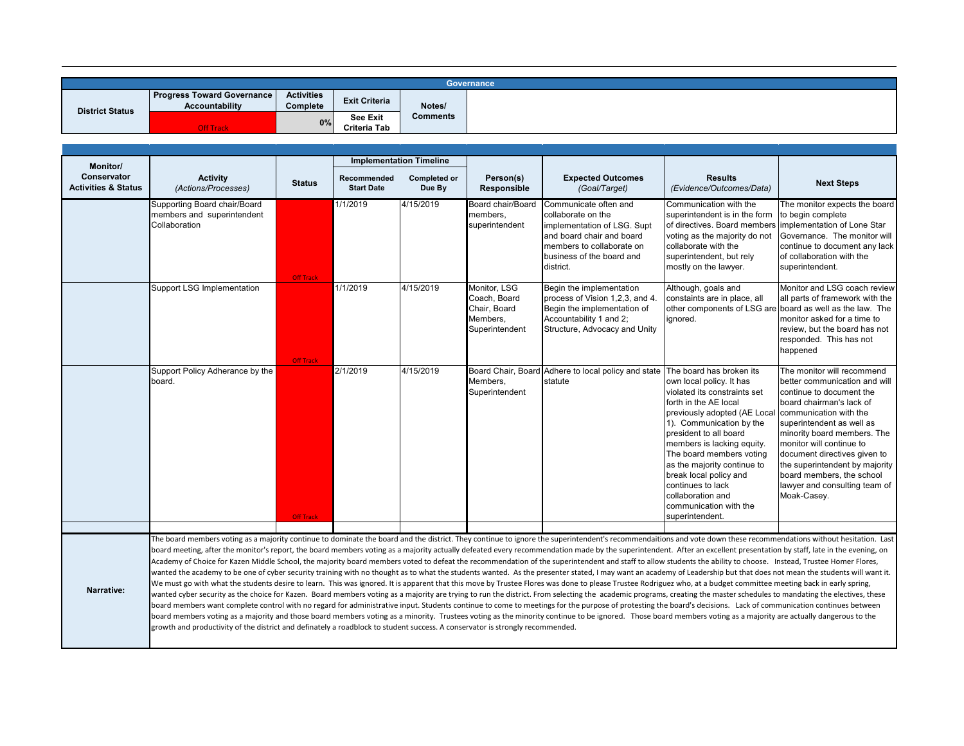| Governance             |                                                            |                               |                                 |                 |  |  |  |
|------------------------|------------------------------------------------------------|-------------------------------|---------------------------------|-----------------|--|--|--|
| <b>District Status</b> | <b>Progress Toward Governance</b><br><b>Accountability</b> | <b>Activities</b><br>Complete | <b>Exit Criteria</b>            | Notes/          |  |  |  |
|                        | <b>Off Track</b>                                           | 0%                            | <b>See Exit</b><br>Criteria Tab | <b>Comments</b> |  |  |  |

| <b>Monitor/</b>                               |                                                                                                                                                                                                                                                                                                                                                                                                                                                                                                                                                                                                                                                                                                                                                                                                                                                                                                                                                                                                                                                                                                                                                                                                                                                                                                                                                                                                                                                                                                                                                                                                                                                                                                                                                                                                                                                                                                                    |                  |                                  | <b>Implementation Timeline</b> |                                                                            |                                                                                                                                                                                |                                                                                                                                                                                                                                                                                                                                                                                   |                                                                                                                                                                                                                                                                                                                                                                                      |
|-----------------------------------------------|--------------------------------------------------------------------------------------------------------------------------------------------------------------------------------------------------------------------------------------------------------------------------------------------------------------------------------------------------------------------------------------------------------------------------------------------------------------------------------------------------------------------------------------------------------------------------------------------------------------------------------------------------------------------------------------------------------------------------------------------------------------------------------------------------------------------------------------------------------------------------------------------------------------------------------------------------------------------------------------------------------------------------------------------------------------------------------------------------------------------------------------------------------------------------------------------------------------------------------------------------------------------------------------------------------------------------------------------------------------------------------------------------------------------------------------------------------------------------------------------------------------------------------------------------------------------------------------------------------------------------------------------------------------------------------------------------------------------------------------------------------------------------------------------------------------------------------------------------------------------------------------------------------------------|------------------|----------------------------------|--------------------------------|----------------------------------------------------------------------------|--------------------------------------------------------------------------------------------------------------------------------------------------------------------------------|-----------------------------------------------------------------------------------------------------------------------------------------------------------------------------------------------------------------------------------------------------------------------------------------------------------------------------------------------------------------------------------|--------------------------------------------------------------------------------------------------------------------------------------------------------------------------------------------------------------------------------------------------------------------------------------------------------------------------------------------------------------------------------------|
| Conservator<br><b>Activities &amp; Status</b> | <b>Activity</b><br>(Actions/Processes)                                                                                                                                                                                                                                                                                                                                                                                                                                                                                                                                                                                                                                                                                                                                                                                                                                                                                                                                                                                                                                                                                                                                                                                                                                                                                                                                                                                                                                                                                                                                                                                                                                                                                                                                                                                                                                                                             | <b>Status</b>    | Recommended<br><b>Start Date</b> | <b>Completed or</b><br>Due By  | Person(s)<br>Responsible                                                   | <b>Expected Outcomes</b><br>(Goal/Target)                                                                                                                                      | <b>Results</b><br>(Evidence/Outcomes/Data)                                                                                                                                                                                                                                                                                                                                        | <b>Next Steps</b>                                                                                                                                                                                                                                                                                                                                                                    |
|                                               | Supporting Board chair/Board<br>members and superintendent<br>Collaboration                                                                                                                                                                                                                                                                                                                                                                                                                                                                                                                                                                                                                                                                                                                                                                                                                                                                                                                                                                                                                                                                                                                                                                                                                                                                                                                                                                                                                                                                                                                                                                                                                                                                                                                                                                                                                                        | <b>Off Track</b> | 1/1/2019                         | 4/15/2019                      | Board chair/Board<br>members.<br>superintendent                            | Communicate often and<br>collaborate on the<br>implementation of LSG. Supt<br>and board chair and board<br>members to collaborate on<br>business of the board and<br>district. | Communication with the<br>superintendent is in the form<br>of directives. Board members<br>voting as the majority do not<br>collaborate with the<br>superintendent, but rely<br>mostly on the lawyer.                                                                                                                                                                             | The monitor expects the board<br>to begin complete<br>implementation of Lone Star<br>Governance. The monitor will<br>continue to document any lack<br>of collaboration with the<br>superintendent.                                                                                                                                                                                   |
|                                               | <b>Support LSG Implementation</b>                                                                                                                                                                                                                                                                                                                                                                                                                                                                                                                                                                                                                                                                                                                                                                                                                                                                                                                                                                                                                                                                                                                                                                                                                                                                                                                                                                                                                                                                                                                                                                                                                                                                                                                                                                                                                                                                                  | <b>Off Track</b> | 1/1/2019                         | 4/15/2019                      | Monitor. LSG<br>Coach, Board<br>Chair, Board<br>Members,<br>Superintendent | Begin the implementation<br>process of Vision 1,2,3, and 4.<br>Begin the implementation of<br>Accountability 1 and 2;<br>Structure, Advocacy and Unity                         | Although, goals and<br>constaints are in place, all<br>ignored.                                                                                                                                                                                                                                                                                                                   | Monitor and LSG coach review<br>all parts of framework with the<br>other components of LSG are board as well as the law. The<br>monitor asked for a time to<br>review, but the board has not<br>responded. This has not<br>happened                                                                                                                                                  |
|                                               | Support Policy Adherance by the<br>board.                                                                                                                                                                                                                                                                                                                                                                                                                                                                                                                                                                                                                                                                                                                                                                                                                                                                                                                                                                                                                                                                                                                                                                                                                                                                                                                                                                                                                                                                                                                                                                                                                                                                                                                                                                                                                                                                          | <b>Off Track</b> | 2/1/2019                         | 4/15/2019                      | Members.<br>Superintendent                                                 | Board Chair, Board Adhere to local policy and state The board has broken its<br>statute                                                                                        | own local policy. It has<br>violated its constraints set<br>forth in the AE local<br>previously adopted (AE Local<br>1). Communication by the<br>president to all board<br>members is lacking equity.<br>The board members voting<br>as the majority continue to<br>break local policy and<br>continues to lack<br>collaboration and<br>communication with the<br>superintendent. | The monitor will recommend<br>better communication and will<br>continue to document the<br>board chairman's lack of<br>communication with the<br>superintendent as well as<br>minority board members. The<br>monitor will continue to<br>document directives given to<br>the superintendent by majority<br>board members, the school<br>lawyer and consulting team of<br>Moak-Casey. |
|                                               |                                                                                                                                                                                                                                                                                                                                                                                                                                                                                                                                                                                                                                                                                                                                                                                                                                                                                                                                                                                                                                                                                                                                                                                                                                                                                                                                                                                                                                                                                                                                                                                                                                                                                                                                                                                                                                                                                                                    |                  |                                  |                                |                                                                            |                                                                                                                                                                                |                                                                                                                                                                                                                                                                                                                                                                                   |                                                                                                                                                                                                                                                                                                                                                                                      |
| Narrative:                                    | The board members voting as a majority continue to dominate the board and the district. They continue to ignore the superintendent's recommendaitions and vote down these recommendations without hesitation. Last<br>board meeting, after the monitor's report, the board members voting as a majority actually defeated every recommendation made by the superintendent. After an excellent presentation by staff, late in the evening, on<br>Academy of Choice for Kazen Middle School, the majority board members voted to defeat the recommendation of the superintendent and staff to allow students the ability to choose. Instead, Trustee Homer Flores,<br>wanted the academy to be one of cyber security training with no thought as to what the students wanted. As the presenter stated, I may want an academy of Leadership but that does not mean the students will want it.<br>We must go with what the students desire to learn. This was ignored. It is apparent that this move by Trustee Flores was done to please Trustee Rodriguez who, at a budget committee meeting back in early spring,<br>wanted cyber security as the choice for Kazen. Board members voting as a majority are trying to run the district. From selecting the academic programs, creating the master schedules to mandating the electives, these<br>board members want complete control with no regard for administrative input. Students continue to come to meetings for the purpose of protesting the board's decisions. Lack of communication continues between<br>board members voting as a majority and those board members voting as a minority. Trustees voting as the minority continue to be ignored. Those board members voting as a majority are actually dangerous to the<br>growth and productivity of the district and definately a roadblock to student success. A conservator is strongly recommended. |                  |                                  |                                |                                                                            |                                                                                                                                                                                |                                                                                                                                                                                                                                                                                                                                                                                   |                                                                                                                                                                                                                                                                                                                                                                                      |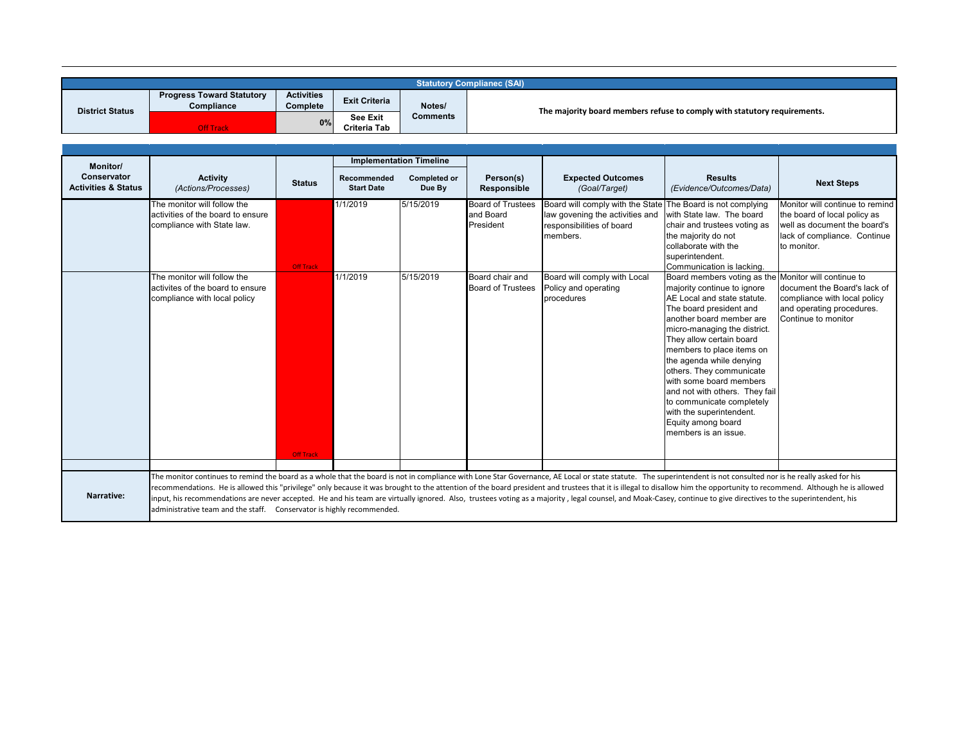|                                               |                                                                                                                                                                                                                                                                                                                                                                                                                                                                                                                                                                                                                                                                                                                                            |                               |                                  |                                | <b>Statutory Complianec (SAI)</b>                                        |                                                                                                                                         |                                                                                                                                                                                                                                                                                                                                                                                                                                                                                                |                                                                                                                                                |  |
|-----------------------------------------------|--------------------------------------------------------------------------------------------------------------------------------------------------------------------------------------------------------------------------------------------------------------------------------------------------------------------------------------------------------------------------------------------------------------------------------------------------------------------------------------------------------------------------------------------------------------------------------------------------------------------------------------------------------------------------------------------------------------------------------------------|-------------------------------|----------------------------------|--------------------------------|--------------------------------------------------------------------------|-----------------------------------------------------------------------------------------------------------------------------------------|------------------------------------------------------------------------------------------------------------------------------------------------------------------------------------------------------------------------------------------------------------------------------------------------------------------------------------------------------------------------------------------------------------------------------------------------------------------------------------------------|------------------------------------------------------------------------------------------------------------------------------------------------|--|
| <b>District Status</b>                        | <b>Progress Toward Statutory</b><br>Compliance                                                                                                                                                                                                                                                                                                                                                                                                                                                                                                                                                                                                                                                                                             | <b>Activities</b><br>Complete | <b>Exit Criteria</b>             | Notes/                         | The majority board members refuse to comply with statutory requirements. |                                                                                                                                         |                                                                                                                                                                                                                                                                                                                                                                                                                                                                                                |                                                                                                                                                |  |
|                                               | <b>Off Track</b>                                                                                                                                                                                                                                                                                                                                                                                                                                                                                                                                                                                                                                                                                                                           | 0%                            | See Exit<br>Criteria Tab         | <b>Comments</b>                |                                                                          |                                                                                                                                         |                                                                                                                                                                                                                                                                                                                                                                                                                                                                                                |                                                                                                                                                |  |
|                                               |                                                                                                                                                                                                                                                                                                                                                                                                                                                                                                                                                                                                                                                                                                                                            |                               |                                  |                                |                                                                          |                                                                                                                                         |                                                                                                                                                                                                                                                                                                                                                                                                                                                                                                |                                                                                                                                                |  |
| <b>Monitor/</b>                               |                                                                                                                                                                                                                                                                                                                                                                                                                                                                                                                                                                                                                                                                                                                                            |                               |                                  | <b>Implementation Timeline</b> |                                                                          |                                                                                                                                         |                                                                                                                                                                                                                                                                                                                                                                                                                                                                                                |                                                                                                                                                |  |
| Conservator<br><b>Activities &amp; Status</b> | <b>Activity</b><br>(Actions/Processes)                                                                                                                                                                                                                                                                                                                                                                                                                                                                                                                                                                                                                                                                                                     | <b>Status</b>                 | Recommended<br><b>Start Date</b> | <b>Completed or</b><br>Due By  | Person(s)<br>Responsible                                                 | <b>Expected Outcomes</b><br>(Goal/Target)                                                                                               | <b>Results</b><br>(Evidence/Outcomes/Data)                                                                                                                                                                                                                                                                                                                                                                                                                                                     | <b>Next Steps</b>                                                                                                                              |  |
|                                               | The monitor will follow the<br>activities of the board to ensure<br>compliance with State law.                                                                                                                                                                                                                                                                                                                                                                                                                                                                                                                                                                                                                                             | <b>Off Track</b>              | 1/1/2019                         | 5/15/2019                      | <b>Board of Trustees</b><br>and Board<br>President                       | Board will comply with the State The Board is not complying<br>law govening the activities and<br>responsibilities of board<br>members. | with State law. The board<br>chair and trustees voting as<br>the majority do not<br>collaborate with the<br>superintendent.<br>Communication is lacking.                                                                                                                                                                                                                                                                                                                                       | Monitor will continue to remind<br>the board of local policy as<br>well as document the board's<br>lack of compliance. Continue<br>to monitor. |  |
|                                               | The monitor will follow the<br>activites of the board to ensure<br>compliance with local policy                                                                                                                                                                                                                                                                                                                                                                                                                                                                                                                                                                                                                                            | <b>Off Track</b>              | 1/1/2019                         | 5/15/2019                      | Board chair and<br><b>Board of Trustees</b>                              | Board will comply with Local<br>Policy and operating<br>procedures                                                                      | Board members voting as the Monitor will continue to<br>majority continue to ignore<br>AE Local and state statute.<br>The board president and<br>another board member are<br>micro-managing the district.<br>They allow certain board<br>members to place items on<br>the agenda while denying<br>others. They communicate<br>with some board members<br>and not with others. They fail<br>to communicate completely<br>with the superintendent.<br>Equity among board<br>members is an issue. | document the Board's lack of<br>compliance with local policy<br>and operating procedures.<br>Continue to monitor                               |  |
| Narrative:                                    | The monitor continues to remind the board as a whole that the board is not in compliance with Lone Star Governance, AE Local or state statute. The superintendent is not consulted nor is he really asked for his<br>recommendations. He is allowed this "privilege" only because it was brought to the attention of the board president and trustees that it is illegal to disallow him the opportunity to recommend. Although he is allowed<br>input, his recommendations are never accepted. He and his team are virtually ignored. Also, trustees voting as a majority, legal counsel, and Moak-Casey, continue to give directives to the superintendent, his<br>administrative team and the staff. Conservator is highly recommended. |                               |                                  |                                |                                                                          |                                                                                                                                         |                                                                                                                                                                                                                                                                                                                                                                                                                                                                                                |                                                                                                                                                |  |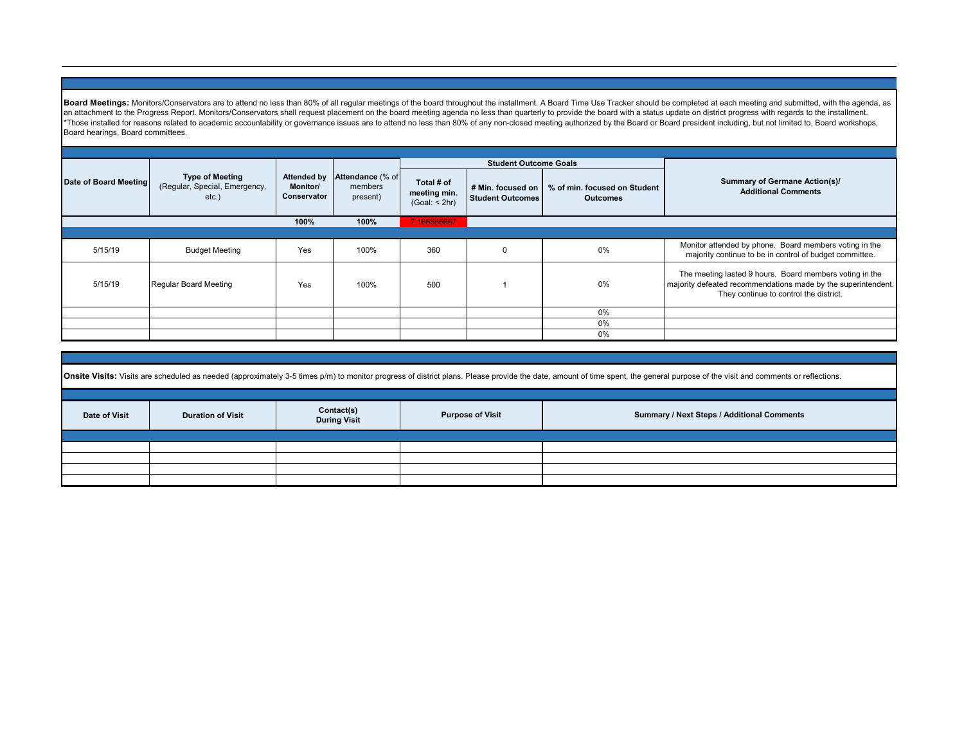Board Meetings: Monitors/Conservators are to attend no less than 80% of all regular meetings of the board throughout the installment. A Board Time Use Tracker should be completed at each meeting and submitted, with the age an attachment to the Progress Report. Monitors/Conservators shall request placement on the board meeting agenda no less than quarterly to provide the board with a status update on district progress with regards to the inst \*Those installed for reasons related to academic accountability or governance issues are to attend no less than 80% of any non-closed meeting authorized by the Board president including, but not limited to, Board workshops Board hearings, Board committees.

|                       |                                                                     |                                                      | Attendance (% of<br>members<br>present) |                                             | <b>Student Outcome Goals</b> |                                                                     |                                                                                                                                                                    |
|-----------------------|---------------------------------------------------------------------|------------------------------------------------------|-----------------------------------------|---------------------------------------------|------------------------------|---------------------------------------------------------------------|--------------------------------------------------------------------------------------------------------------------------------------------------------------------|
| Date of Board Meeting | <b>Type of Meeting</b><br>(Regular, Special, Emergency,<br>$etc.$ ) | <b>Attended by</b><br><b>Monitor/</b><br>Conservator |                                         | Total # of<br>meeting min.<br>(Goal: < 2hr) | Student Outcomes             | # Min. focused on   % of min. focused on Student<br><b>Outcomes</b> | Summary of Germane Action(s)/<br><b>Additional Comments</b>                                                                                                        |
|                       |                                                                     | 100%                                                 | 100%                                    | 7.166666667                                 |                              |                                                                     |                                                                                                                                                                    |
|                       |                                                                     |                                                      |                                         |                                             |                              |                                                                     |                                                                                                                                                                    |
| 5/15/19               | <b>Budget Meeting</b>                                               | Yes                                                  | 100%                                    | 360                                         | $\Omega$                     | 0%                                                                  | Monitor attended by phone. Board members voting in the<br>majority continue to be in control of budget committee.                                                  |
| 5/15/19               | Regular Board Meeting                                               | Yes                                                  | 100%                                    | 500                                         |                              | 0%                                                                  | The meeting lasted 9 hours. Board members voting in the<br>majority defeated recommendations made by the superintendent.<br>They continue to control the district. |
|                       |                                                                     |                                                      |                                         |                                             |                              | 0%                                                                  |                                                                                                                                                                    |
|                       |                                                                     |                                                      |                                         |                                             |                              | 0%                                                                  |                                                                                                                                                                    |
|                       |                                                                     |                                                      |                                         |                                             |                              | 0%                                                                  |                                                                                                                                                                    |

| Onsite Visits: Visits are scheduled as needed (approximately 3-5 times p/m) to monitor progress of district plans. Please provide the date, amount of time spent, the general purpose of the visit and comments or reflections |                                                                                                                                        |  |  |  |  |  |  |  |  |
|--------------------------------------------------------------------------------------------------------------------------------------------------------------------------------------------------------------------------------|----------------------------------------------------------------------------------------------------------------------------------------|--|--|--|--|--|--|--|--|
| Date of Visit                                                                                                                                                                                                                  | Contact(s)<br>Summary / Next Steps / Additional Comments<br><b>Purpose of Visit</b><br><b>Duration of Visit</b><br><b>During Visit</b> |  |  |  |  |  |  |  |  |
|                                                                                                                                                                                                                                |                                                                                                                                        |  |  |  |  |  |  |  |  |
|                                                                                                                                                                                                                                |                                                                                                                                        |  |  |  |  |  |  |  |  |